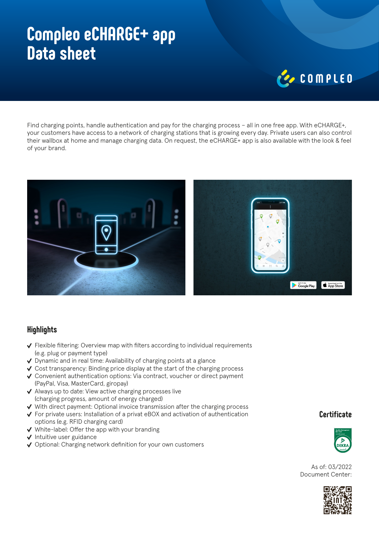## **Compleo eCHARGE+ app Data sheet**

# COMPLED

Find charging points, handle authentication and pay for the charging process – all in one free app. With eCHARGE+, your customers have access to a network of charging stations that is growing every day. Private users can also control their wallbox at home and manage charging data. On request, the eCHARGE+ app is also available with the look & feel of your brand.



### **Highlights**

- $\vee$  Flexible filtering: Overview map with filters according to individual requirements (e.g. plug or payment type)
- ◆ Dynamic and in real time: Availability of charging points at a glance
- Cost transparency: Binding price display at the start of the charging process
- ◆ Convenient authentication options: Via contract, voucher or direct payment (PayPal, Visa, MasterCard, giropay)
- $\vee$  Always up to date: View active charging processes live (charging progress, amount of energy charged)
- $\checkmark$  With direct payment: Optional invoice transmission after the charging process
- For private users: Installation of a privat eBOX and activation of authentication options (e.g. RFID charging card)
- $\vee$  White-label: Offer the app with your branding
- $\checkmark$  Intuitive user guidance
- ◆ Optional: Charging network definition for your own customers

#### **Certificate**



As of: 03/2022 Document Center: